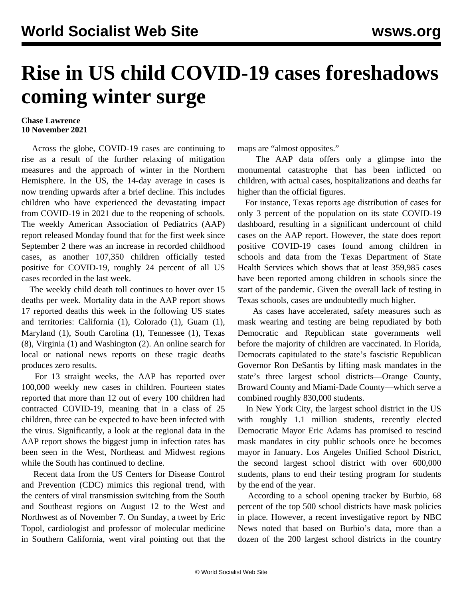## **Rise in US child COVID-19 cases foreshadows coming winter surge**

## **Chase Lawrence 10 November 2021**

 Across the globe, COVID-19 cases are continuing to rise as a result of the further relaxing of mitigation measures and the approach of winter in the Northern Hemisphere. In the US, the 14-day average in cases is now trending upwards after a brief decline. This includes children who have experienced the devastating impact from COVID-19 in 2021 due to the reopening of schools. The weekly American Association of Pediatrics (AAP) report released Monday found that for the first week since September 2 there was an increase in recorded childhood cases, as another 107,350 children officially tested positive for COVID-19, roughly 24 percent of all US cases recorded in the last week.

 The weekly child death toll continues to hover over 15 deaths per week. Mortality data in the AAP report shows 17 reported deaths this week in the following US states and territories: California (1), Colorado (1), Guam (1), Maryland (1), South Carolina (1), Tennessee (1), Texas (8), Virginia (1) and Washington (2). An online search for local or national news reports on these tragic deaths produces zero results.

 For 13 straight weeks, the AAP has reported over 100,000 weekly new cases in children. Fourteen states reported that more than 12 out of every 100 children had contracted COVID-19, meaning that in a class of 25 children, three can be expected to have been infected with the virus. Significantly, a look at the regional data in the AAP report shows the biggest jump in infection rates has been seen in the West, Northeast and Midwest regions while the South has continued to decline.

 Recent data from the US Centers for Disease Control and Prevention (CDC) mimics this regional trend, with the centers of viral transmission switching from the South and Southeast regions on August 12 to the West and Northwest as of November 7. On Sunday, a [tweet](https://twitter.com/EricTopol/status/1457438899580456968) by Eric Topol, cardiologist and professor of molecular medicine in Southern California, went viral pointing out that the maps are "almost opposites."

 The AAP data offers only a glimpse into the monumental catastrophe that has been inflicted on children, with actual cases, hospitalizations and deaths far higher than the official figures.

 For instance, Texas reports age distribution of cases for only 3 percent of the population on its state COVID-19 dashboard, resulting in a significant undercount of child cases on the AAP report. However, the state does report positive COVID-19 cases found among children in schools and data from the Texas Department of State Health Services which shows that at least 359,985 cases have been reported among children in schools since the start of the pandemic. Given the overall lack of testing in Texas schools, cases are undoubtedly much higher.

 As cases have accelerated, safety measures such as mask wearing and testing are being repudiated by both Democratic and Republican state governments well before the majority of children are vaccinated. In Florida, Democrats [capitulated](/en/articles/2021/11/09/flor-n09.html) to the state's fascistic Republican Governor Ron DeSantis by lifting mask mandates in the state's three largest school districts—Orange County, Broward County and Miami-Dade County—which serve a combined roughly 830,000 students.

 In New York City, the largest school district in the US with roughly 1.1 million students, recently elected Democratic Mayor Eric Adams has promised to rescind mask mandates in city public schools once he becomes mayor in January. Los Angeles Unified School District, the second largest school district with over 600,000 students, plans to end their testing program for students by the end of the year.

 According to a school opening tracker by Burbio, 68 percent of the top 500 school districts have mask policies in place. However, a recent investigative report by NBC News noted that based on Burbio's data, more than a dozen of the 200 largest school districts in the country